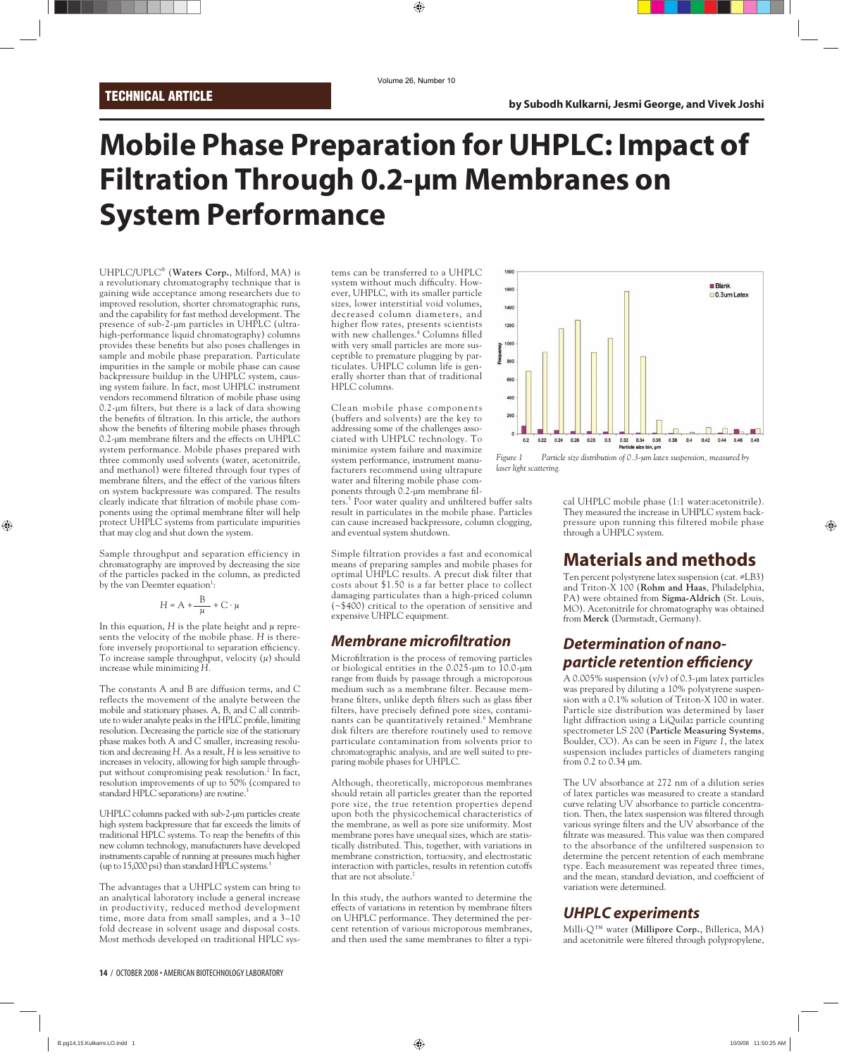# **Mobile Phase Preparation for UHPLC: Impact of Filtration Through 0.2-µm Membranes on System Performance**

UHPLC/UPLC® (**Waters Corp.**, Milford, MA) is a revolutionary chromatography technique that is gaining wide acceptance among researchers due to improved resolution, shorter chromatographic runs, and the capability for fast method development. The presence of sub-2-µm particles in UHPLC (ultrahigh-performance liquid chromatography) columns provides these benefits but also poses challenges in sample and mobile phase preparation. Particulate impurities in the sample or mobile phase can cause backpressure buildup in the UHPLC system, causing system failure. In fact, most UHPLC instrument vendors recommend filtration of mobile phase using 0.2-µm filters, but there is a lack of data showing the benefits of filtration. In this article, the authors show the benefits of filtering mobile phases through 0.2-µm membrane filters and the effects on UHPLC system performance. Mobile phases prepared with three commonly used solvents (water, acetonitrile, and methanol) were filtered through four types of membrane filters, and the effect of the various filters on system backpressure was compared. The results clearly indicate that filtration of mobile phase components using the optimal membrane filter will help protect UHPLC systems from particulate impurities that may clog and shut down the system.

Sample throughput and separation efficiency in chromatography are improved by decreasing the size of the particles packed in the column, as predicted by the van Deemter equation<sup>1</sup>:

$$
H = A + \frac{B}{\mu} + C \cdot \mu
$$

In this equation,  $H$  is the plate height and  $\mu$  represents the velocity of the mobile phase. *H* is therefore inversely proportional to separation efficiency. To increase sample throughput, velocity (*µ*) should increase while minimizing *H*.

The constants A and B are diffusion terms, and C reflects the movement of the analyte between the mobile and stationary phases. A, B, and C all contribute to wider analyte peaks in the HPLC profile, limiting resolution. Decreasing the particle size of the stationary phase makes both A and C smaller, increasing resolution and decreasing *H*. As a result, *H* is less sensitive to increases in velocity, allowing for high sample throughput without compromising peak resolution.<sup>2</sup> In fact, resolution improvements of up to 50% (compared to standard HPLC separations) are routine.<sup>3</sup>

UHPLC columns packed with sub-2-µm particles create high system backpressure that far exceeds the limits of traditional HPLC systems. To reap the benefits of this new column technology, manufacturers have developed instruments capable of running at pressures much higher (up to 15,000 psi) than standard HPLC systems. $\frac{3}{2}$ 

The advantages that a UHPLC system can bring to an analytical laboratory include a general increase in productivity, reduced method development time, more data from small samples, and a 3–10 fold decrease in solvent usage and disposal costs. Most methods developed on traditional HPLC systems can be transferred to a UHPLC system without much difficulty. However, UHPLC, with its smaller particle sizes, lower interstitial void volumes, decreased column diameters, and higher flow rates, presents scientists with new challenges.<sup>4</sup> Columns filled with very small particles are more susceptible to premature plugging by particulates. UHPLC column life is generally shorter than that of traditional HPLC columns.

Clean mobile phase components (buffers and solvents) are the key to addressing some of the challenges associated with UHPLC technology. To minimize system failure and maximize system performance, instrument manufacturers recommend using ultrapure water and filtering mobile phase components through 0.2-µm membrane fil-

ters.<sup>5</sup> Poor water quality and unfiltered buffer salts result in particulates in the mobile phase. Particles can cause increased backpressure, column clogging, and eventual system shutdown.

Simple filtration provides a fast and economical means of preparing samples and mobile phases for optimal UHPLC results. A precut disk filter that costs about \$1.50 is a far better place to collect damaging particulates than a high-priced column (~\$400) critical to the operation of sensitive and expensive UHPLC equipment.

#### *Membrane microfi ltration*

Microfiltration is the process of removing particles or biological entities in the 0.025-µm to 10.0-µm range from fluids by passage through a microporous medium such as a membrane filter. Because membrane filters, unlike depth filters such as glass fiber filters, have precisely defined pore sizes, contaminants can be quantitatively retained.<sup>6</sup> Membrane disk filters are therefore routinely used to remove particulate contamination from solvents prior to chromatographic analysis, and are well suited to preparing mobile phases for UHPLC.

Although, theoretically, microporous membranes should retain all particles greater than the reported pore size, the true retention properties depend upon both the physicochemical characteristics of the membrane, as well as pore size uniformity. Most membrane pores have unequal sizes, which are statistically distributed. This, together, with variations in membrane constriction, tortuosity, and electrostatic interaction with particles, results in retention cutoffs that are not absolute.<sup>7</sup>

In this study, the authors wanted to determine the effects of variations in retention by membrane filters on UHPLC performance. They determined the percent retention of various microporous membranes, and then used the same membranes to filter a typi-



*Figure 1 Particle size distribution of 0.3-µm latex suspension, measured by laser light scattering.*

cal UHPLC mobile phase (1:1 water:acetonitrile). They measured the increase in UHPLC system backpressure upon running this filtered mobile phase through a UHPLC system.

# **Materials and methods**

Ten percent polystyrene latex suspension (cat. #LB3) and Triton-X 100 (**Rohm and Haas**, Philadelphia, PA) were obtained from **Sigma-Aldrich** (St. Louis, MO). Acetonitrile for chromatography was obtained from **Merck** (Darmstadt, Germany).

# *Determination of nanoparticle retention effi ciency*

A 0.005% suspension  $(v/v)$  of 0.3-um latex particles was prepared by diluting a 10% polystyrene suspension with a 0.1% solution of Triton-X 100 in water. Particle size distribution was determined by laser light diffraction using a LiQuilaz particle counting spectrometer LS 200 (**Particle Measuring Systems**, Boulder, CO). As can be seen in *Figure 1*, the latex suspension includes particles of diameters ranging from 0.2 to 0.34 µm.

The UV absorbance at 272 nm of a dilution series of latex particles was measured to create a standard curve relating UV absorbance to particle concentration. Then, the latex suspension was filtered through various syringe filters and the UV absorbance of the filtrate was measured. This value was then compared to the absorbance of the unfiltered suspension to determine the percent retention of each membrane type. Each measurement was repeated three times, and the mean, standard deviation, and coefficient of variation were determined.

# *UHPLC experiments*

Milli-Q™ water (**Millipore Corp.**, Billerica, MA) and acetonitrile were filtered through polypropylene,